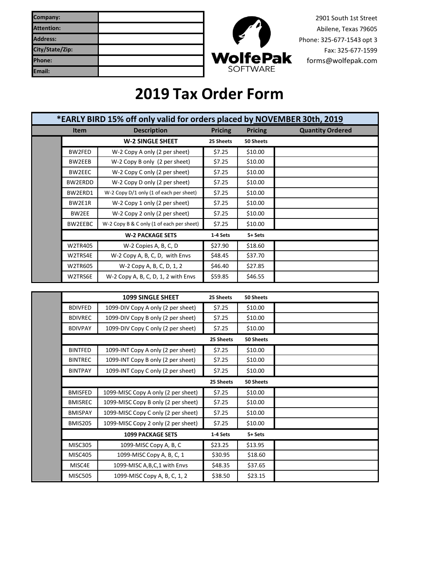| Company:          |  |
|-------------------|--|
| <b>Attention:</b> |  |
| <b>Address:</b>   |  |
| City/State/Zip:   |  |
| <b>Phone:</b>     |  |
| Email:            |  |



2901 South 1st Street Abilene, Texas 79605 Phone: 325-677-1543 opt 3 Fax: 325-677-1599 [forms@wolfepak.com](mailto:forms@wolfepak.com) 

## **2019 Tax Order Form**

| *EARLY BIRD 15% off only valid for orders placed by NOVEMBER 30th, 2019 |                                           |                |                |                         |
|-------------------------------------------------------------------------|-------------------------------------------|----------------|----------------|-------------------------|
| <b>Item</b>                                                             | <b>Description</b>                        | <b>Pricing</b> | <b>Pricing</b> | <b>Quantity Ordered</b> |
|                                                                         | <b>W-2 SINGLE SHEET</b>                   | 25 Sheets      | 50 Sheets      |                         |
| BW2FED                                                                  | W-2 Copy A only (2 per sheet)             | \$7.25         | \$10.00        |                         |
| BW2EEB                                                                  | W-2 Copy B only (2 per sheet)             | \$7.25         | \$10.00        |                         |
| BW2EEC                                                                  | W-2 Copy C only (2 per sheet)             | \$7.25         | \$10.00        |                         |
| BW2ERDD                                                                 | W-2 Copy D only (2 per sheet)             | \$7.25         | \$10.00        |                         |
| BW2ERD1                                                                 | W-2 Copy D/1 only (1 of each per sheet)   | \$7.25         | \$10.00        |                         |
| BW2E1R                                                                  | W-2 Copy 1 only (2 per sheet)             | \$7.25         | \$10.00        |                         |
| BW2EE                                                                   | W-2 Copy 2 only (2 per sheet)             | \$7.25         | \$10.00        |                         |
| BW2EEBC                                                                 | W-2 Copy B & C only (1 of each per sheet) | \$7.25         | \$10.00        |                         |
|                                                                         | <b>W-2 PACKAGE SETS</b>                   | 1-4 Sets       | 5+ Sets        |                         |
| W2TR405                                                                 | W-2 Copies A, B, C, D                     | \$27.90        | \$18.60        |                         |
| W2TRS4E                                                                 | W-2 Copy A, B, C, D, with Envs            | \$48.45        | \$37.70        |                         |
| <b>W2TR605</b>                                                          | W-2 Copy A, B, C, D, 1, 2                 | \$46.40        | \$27.85        |                         |
| W2TRS6E                                                                 | $W-2$ Copy A, B, C, D, 1, 2 with Envs     | \$59.85        | \$46.55        |                         |

|                          | <b>1099 SINGLE SHEET</b>            | 25 Sheets | 50 Sheets |  |
|--------------------------|-------------------------------------|-----------|-----------|--|
| <b>BDIVFED</b>           | 1099-DIV Copy A only (2 per sheet)  | \$7.25    | \$10.00   |  |
| <b>BDIVREC</b>           | 1099-DIV Copy B only (2 per sheet)  | \$7.25    | \$10.00   |  |
| <b>BDIVPAY</b>           | 1099-DIV Copy C only (2 per sheet)  | \$7.25    | \$10.00   |  |
|                          |                                     | 25 Sheets | 50 Sheets |  |
| <b>BINTFED</b>           | 1099-INT Copy A only (2 per sheet)  | \$7.25    | \$10.00   |  |
| <b>BINTREC</b>           | 1099-INT Copy B only (2 per sheet)  | \$7.25    | \$10.00   |  |
| <b>BINTPAY</b>           | 1099-INT Copy C only (2 per sheet)  | \$7.25    | \$10.00   |  |
|                          |                                     | 25 Sheets | 50 Sheets |  |
| <b>BMISFED</b>           | 1099-MISC Copy A only (2 per sheet) | \$7.25    | \$10.00   |  |
| <b>BMISREC</b>           | 1099-MISC Copy B only (2 per sheet) | \$7.25    | \$10.00   |  |
| <b>BMISPAY</b>           | 1099-MISC Copy C only (2 per sheet) | \$7.25    | \$10.00   |  |
| <b>BMIS205</b>           | 1099-MISC Copy 2 only (2 per sheet) | \$7.25    | \$10.00   |  |
| <b>1099 PACKAGE SETS</b> |                                     | 1-4 Sets  | 5+ Sets   |  |
| <b>MISC305</b>           | 1099-MISC Copy A, B, C              | \$23.25   | \$13.95   |  |
| <b>MISC405</b>           | 1099-MISC Copy A, B, C, 1           | \$30.95   | \$18.60   |  |
| MISC4E                   | 1099-MISC A, B, C, 1 with Envs      | \$48.35   | \$37.65   |  |
| <b>MISC505</b>           | 1099-MISC Copy A, B, C, 1, 2        | \$38.50   | \$23.15   |  |